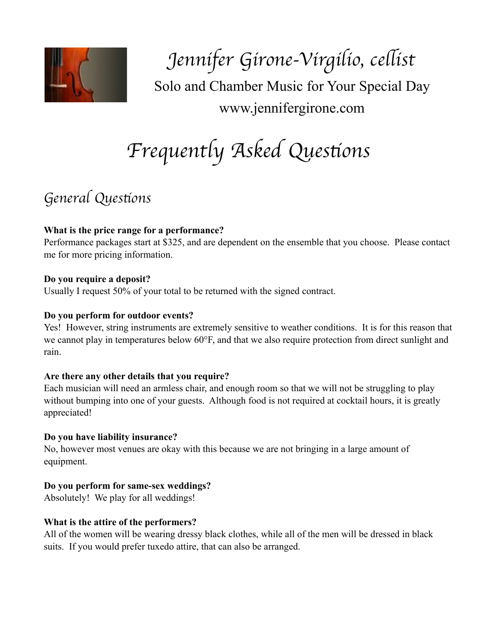

*Jennifer Girone-Virgilio, ce*l*ist* Solo and Chamber Music for Your Special Day www.jennifergirone.com

# *Frequently Asked Ques*t*ons*

## *General Ques*t*ons*

### **What is the price range for a performance?**

Performance packages start at \$325, and are dependent on the ensemble that you choose. Please contact me for more pricing information.

### **Do you require a deposit?**

Usually I request 50% of your total to be returned with the signed contract.

### **Do you perform for outdoor events?**

Yes! However, string instruments are extremely sensitive to weather conditions. It is for this reason that we cannot play in temperatures below 60°F, and that we also require protection from direct sunlight and rain.

### **Are there any other details that you require?**

Each musician will need an armless chair, and enough room so that we will not be struggling to play without bumping into one of your guests. Although food is not required at cocktail hours, it is greatly appreciated!

### **Do you have liability insurance?**

No, however most venues are okay with this because we are not bringing in a large amount of equipment.

### **Do you perform for same-sex weddings?**

Absolutely! We play for all weddings!

### **What is the attire of the performers?**

All of the women will be wearing dressy black clothes, while all of the men will be dressed in black suits. If you would prefer tuxedo attire, that can also be arranged.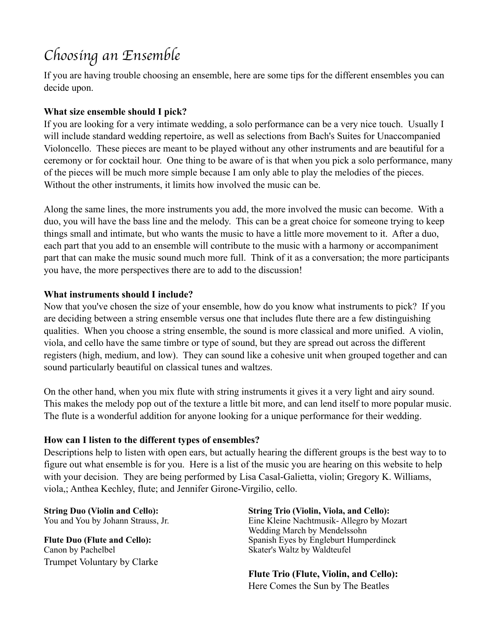# *Choosing an Ensemble*

If you are having trouble choosing an ensemble, here are some tips for the different ensembles you can decide upon.

### **What size ensemble should I pick?**

If you are looking for a very intimate wedding, a solo performance can be a very nice touch. Usually I will include standard wedding repertoire, as well as selections from Bach's Suites for Unaccompanied Violoncello. These pieces are meant to be played without any other instruments and are beautiful for a ceremony or for cocktail hour. One thing to be aware of is that when you pick a solo performance, many of the pieces will be much more simple because I am only able to play the melodies of the pieces. Without the other instruments, it limits how involved the music can be.

Along the same lines, the more instruments you add, the more involved the music can become. With a duo, you will have the bass line and the melody. This can be a great choice for someone trying to keep things small and intimate, but who wants the music to have a little more movement to it. After a duo, each part that you add to an ensemble will contribute to the music with a harmony or accompaniment part that can make the music sound much more full. Think of it as a conversation; the more participants you have, the more perspectives there are to add to the discussion!

### **What instruments should I include?**

Now that you've chosen the size of your ensemble, how do you know what instruments to pick? If you are deciding between a string ensemble versus one that includes flute there are a few distinguishing qualities. When you choose a string ensemble, the sound is more classical and more unified. A violin, viola, and cello have the same timbre or type of sound, but they are spread out across the different registers (high, medium, and low). They can sound like a cohesive unit when grouped together and can sound particularly beautiful on classical tunes and waltzes.

On the other hand, when you mix flute with string instruments it gives it a very light and airy sound. This makes the melody pop out of the texture a little bit more, and can lend itself to more popular music. The flute is a wonderful addition for anyone looking for a unique performance for their wedding.

#### **How can I listen to the different types of ensembles?**

Descriptions help to listen with open ears, but actually hearing the different groups is the best way to to figure out what ensemble is for you. Here is a list of the music you are hearing on this website to help with your decision. They are being performed by Lisa Casal-Galietta, violin; Gregory K. Williams, viola,; Anthea Kechley, flute; and Jennifer Girone-Virgilio, cello.

Canon by Pachelbel Skater's Waltz by Waldteufel Trumpet Voluntary by Clarke

**String Duo (Violin and Cello): String Trio (Violin, Viola, and Cello):**  You and You by Johann Strauss, Jr. Eine Kleine Nachtmusik- Allegro by Mozart Wedding March by Mendelssohn<br>
Flute Duo (Flute and Cello):<br>
Spanish Eves by Engleburt Hump **Spanish Eyes by Engleburt Humperdinck** 

> **Flute Trio (Flute, Violin, and Cello):**  Here Comes the Sun by The Beatles